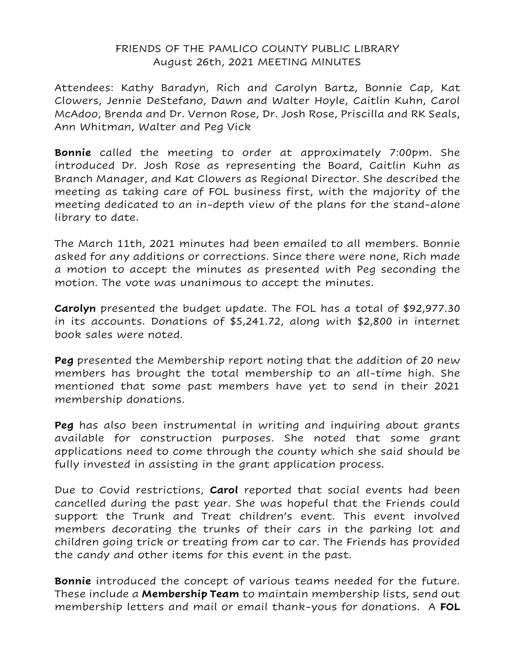## FRIENDS OF THE PAMLICO COUNTY PUBLIC LIBRARY August 26th, 2021 MEETING MINUTES

Attendees: Kathy Baradyn, Rich and Carolyn Bartz, Bonnie Cap, Kat Clowers, Jennie DeStefano, Dawn and Walter Hoyle, Caitlin Kuhn, Carol McAdoo, Brenda and Dr. Vernon Rose, Dr. Josh Rose, Priscilla and RK Seals, Ann Whitman, Walter and Peg Vick

**Bonnie** called the meeting to order at approximately 7:00pm. She introduced Dr. Josh Rose as representing the Board, Caitlin Kuhn as Branch Manager, and Kat Clowers as Regional Director. She described the meeting as taking care of FOL business first, with the majority of the meeting dedicated to an in-depth view of the plans for the stand-alone library to date.

The March 11th, 2021 minutes had been emailed to all members. Bonnie asked for any additions or corrections. Since there were none, Rich made a motion to accept the minutes as presented with Peg seconding the motion. The vote was unanimous to accept the minutes.

**Carolyn** presented the budget update. The FOL has a total of \$92,977.30 in its accounts. Donations of \$5,241.72, along with \$2,800 in internet book sales were noted.

**Peg** presented the Membership report noting that the addition of 20 new members has brought the total membership to an all-time high. She mentioned that some past members have yet to send in their 2021 membership donations.

**Peg** has also been instrumental in writing and inquiring about grants available for construction purposes. She noted that some grant applications need to come through the county which she said should be fully invested in assisting in the grant application process.

Due to Covid restrictions, **Carol** reported that social events had been cancelled during the past year. She was hopeful that the Friends could support the Trunk and Treat children's event. This event involved members decorating the trunks of their cars in the parking lot and children going trick or treating from car to car. The Friends has provided the candy and other items for this event in the past.

**Bonnie** introduced the concept of various teams needed for the future. These include a **Membership Team** to maintain membership lists, send out membership letters and mail or email thank-yous for donations. A **FOL**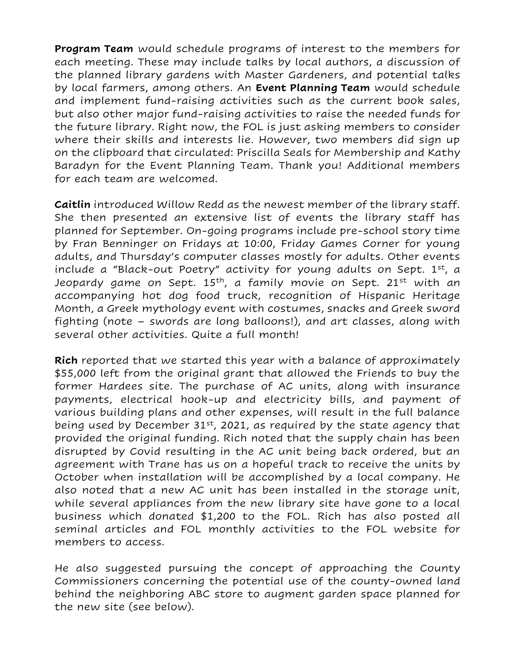**Program Team** would schedule programs of interest to the members for each meeting. These may include talks by local authors, a discussion of the planned library gardens with Master Gardeners, and potential talks by local farmers, among others. An **Event Planning Team** would schedule and implement fund-raising activities such as the current book sales, but also other major fund-raising activities to raise the needed funds for the future library. Right now, the FOL is just asking members to consider where their skills and interests lie. However, two members did sign up on the clipboard that circulated: Priscilla Seals for Membership and Kathy Baradyn for the Event Planning Team. Thank you! Additional members for each team are welcomed.

**Caitlin** introduced Willow Redd as the newest member of the library staff. She then presented an extensive list of events the library staff has planned for September. On-going programs include pre-school story time by Fran Benninger on Fridays at 10:00, Friday Games Corner for young adults, and Thursday's computer classes mostly for adults. Other events include a "Black-out Poetry" activity for young adults on Sept. 1st, a Jeopardy game on Sept.  $15^{th}$ , a family movie on Sept.  $21^{st}$  with an accompanying hot dog food truck, recognition of Hispanic Heritage Month, a Greek mythology event with costumes, snacks and Greek sword fighting (note – swords are long balloons!), and art classes, along with several other activities. Quite a full month!

**Rich** reported that we started this year with a balance of approximately \$55,000 left from the original grant that allowed the Friends to buy the former Hardees site. The purchase of AC units, along with insurance payments, electrical hook-up and electricity bills, and payment of various building plans and other expenses, will result in the full balance being used by December 31 $^{\rm st}$ , 2021, as required by the state agency that provided the original funding. Rich noted that the supply chain has been disrupted by Covid resulting in the AC unit being back ordered, but an agreement with Trane has us on a hopeful track to receive the units by October when installation will be accomplished by a local company. He also noted that a new AC unit has been installed in the storage unit, while several appliances from the new library site have gone to a local business which donated \$1,200 to the FOL. Rich has also posted all seminal articles and FOL monthly activities to the FOL website for members to access.

He also suggested pursuing the concept of approaching the County Commissioners concerning the potential use of the county-owned land behind the neighboring ABC store to augment garden space planned for the new site (see below).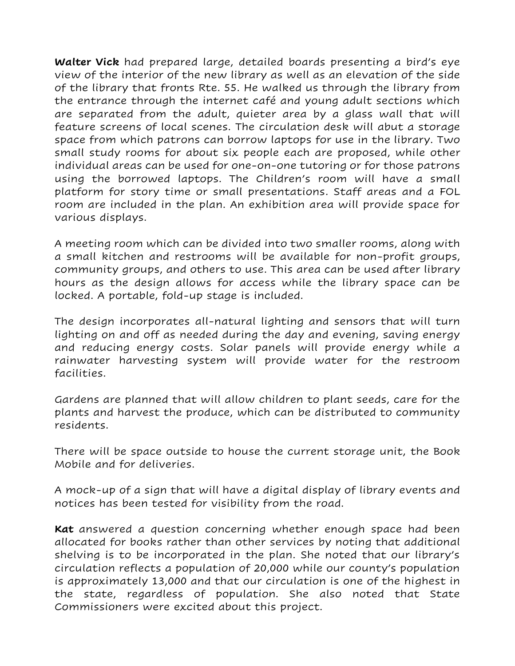**Walter Vick** had prepared large, detailed boards presenting a bird's eye view of the interior of the new library as well as an elevation of the side of the library that fronts Rte. 55. He walked us through the library from the entrance through the internet café and young adult sections which are separated from the adult, quieter area by a glass wall that will feature screens of local scenes. The circulation desk will abut a storage space from which patrons can borrow laptops for use in the library. Two small study rooms for about six people each are proposed, while other individual areas can be used for one-on-one tutoring or for those patrons using the borrowed laptops. The Children's room will have a small platform for story time or small presentations. Staff areas and a FOL room are included in the plan. An exhibition area will provide space for various displays.

A meeting room which can be divided into two smaller rooms, along with a small kitchen and restrooms will be available for non-profit groups, community groups, and others to use. This area can be used after library hours as the design allows for access while the library space can be locked. A portable, fold-up stage is included.

The design incorporates all-natural lighting and sensors that will turn lighting on and off as needed during the day and evening, saving energy and reducing energy costs. Solar panels will provide energy while a rainwater harvesting system will provide water for the restroom facilities.

Gardens are planned that will allow children to plant seeds, care for the plants and harvest the produce, which can be distributed to community residents.

There will be space outside to house the current storage unit, the Book Mobile and for deliveries.

A mock-up of a sign that will have a digital display of library events and notices has been tested for visibility from the road.

**Kat** answered a question concerning whether enough space had been allocated for books rather than other services by noting that additional shelving is to be incorporated in the plan. She noted that our library's circulation reflects a population of 20,000 while our county's population is approximately 13,000 and that our circulation is one of the highest in the state, regardless of population. She also noted that State Commissioners were excited about this project.